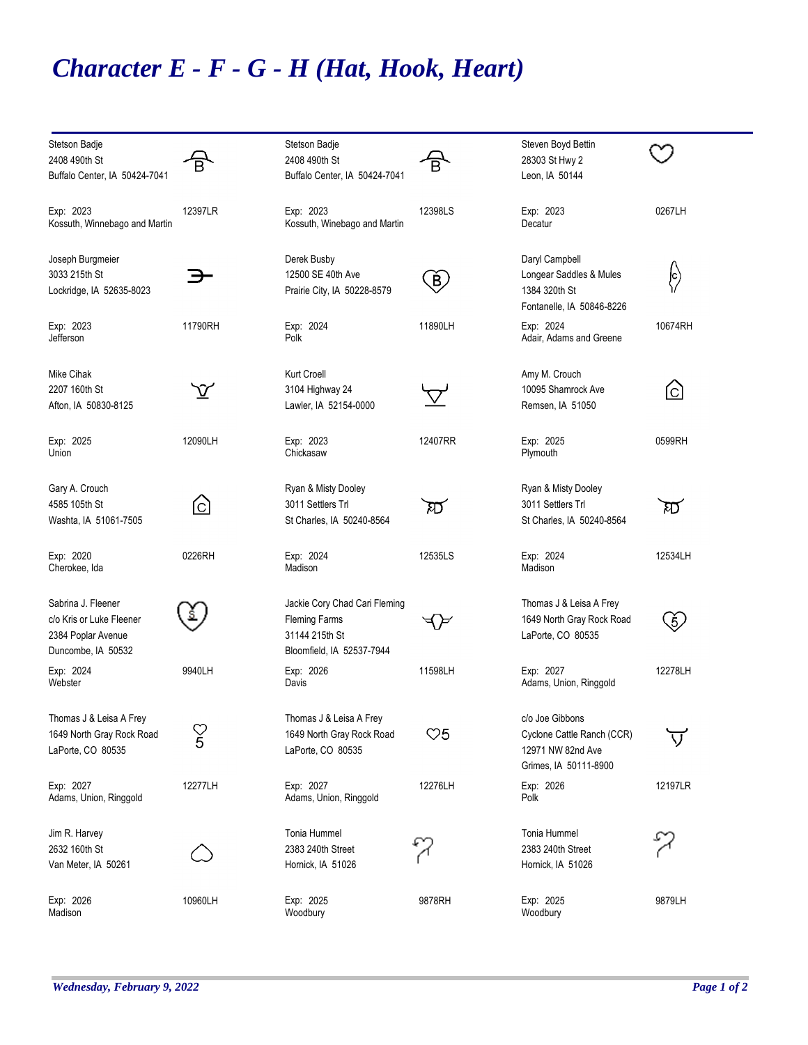## *Character E - F - G - H (Hat, Hook, Heart)*

| Stetson Badje                 |                         | Stetson Badje                 |                | Steven Boyd Bettin         |          |
|-------------------------------|-------------------------|-------------------------------|----------------|----------------------------|----------|
| 2408 490th St                 | $\overline{\mathsf{B}}$ | 2408 490th St                 | Ē              | 28303 St Hwy 2             |          |
| Buffalo Center, IA 50424-7041 |                         | Buffalo Center, IA 50424-7041 |                | Leon, IA 50144             |          |
| Exp: 2023                     | 12397LR                 | Exp: 2023                     | 12398LS        | Exp: 2023                  | 0267LH   |
| Kossuth, Winnebago and Martin |                         | Kossuth, Winebago and Martin  |                | Decatur                    |          |
| Joseph Burgmeier              |                         | Derek Busby                   |                | Daryl Campbell             |          |
| 3033 215th St                 |                         | 12500 SE 40th Ave             |                | Longear Saddles & Mules    |          |
| Lockridge, IA 52635-8023      |                         | Prairie City, IA 50228-8579   | $\bigcirc$     | 1384 320th St              | ြ<br>(၂) |
|                               |                         |                               |                | Fontanelle, IA 50846-8226  |          |
| Exp: 2023                     | 11790RH                 | Exp: 2024                     | 11890LH        | Exp: 2024                  | 10674RH  |
| Jefferson                     |                         | Polk                          |                | Adair, Adams and Greene    |          |
| Mike Cihak                    |                         | <b>Kurt Croell</b>            |                | Amy M. Crouch              |          |
| 2207 160th St                 | $\rm \hat{V}$           | 3104 Highway 24               |                | 10095 Shamrock Ave         | ⊙        |
| Afton, IA 50830-8125          |                         | Lawler, IA 52154-0000         | $\nabla$       | Remsen, IA 51050           |          |
|                               |                         |                               |                |                            |          |
| Exp: 2025                     | 12090LH                 | Exp: 2023                     | 12407RR        | Exp: 2025                  | 0599RH   |
| Union                         |                         | Chickasaw                     |                | Plymouth                   |          |
| Gary A. Crouch                |                         | Ryan & Misty Dooley           |                | Ryan & Misty Dooley        |          |
| 4585 105th St                 | ©                       | 3011 Settlers Trl             | ম্য            | 3011 Settlers Trl          | ম্য      |
| Washta, IA 51061-7505         |                         | St Charles, IA 50240-8564     |                | St Charles, IA 50240-8564  |          |
|                               |                         |                               |                |                            |          |
| Exp: 2020                     | 0226RH                  | Exp: 2024                     | 12535LS        | Exp: 2024                  | 12534LH  |
| Cherokee, Ida                 |                         | Madison                       |                | Madison                    |          |
| Sabrina J. Fleener            |                         | Jackie Cory Chad Cari Fleming |                | Thomas J & Leisa A Frey    |          |
| c/o Kris or Luke Fleener      |                         | <b>Fleming Farms</b>          |                | 1649 North Gray Rock Road  | (5)      |
| 2384 Poplar Avenue            |                         | 31144 215th St                |                | LaPorte, CO 80535          |          |
| Duncombe, IA 50532            |                         | Bloomfield, IA 52537-7944     |                |                            |          |
| Exp: 2024                     | 9940LH                  | Exp: 2026                     | 11598LH        | Exp: 2027                  | 12278LH  |
| Webster                       |                         | Davis                         |                | Adams, Union, Ringgold     |          |
| Thomas J & Leisa A Frey       |                         | Thomas J & Leisa A Frey       |                | c/o Joe Gibbons            |          |
| 1649 North Gray Rock Road     | $\frac{\heartsuit}{5}$  | 1649 North Gray Rock Road     | $\heartsuit 5$ | Cyclone Cattle Ranch (CCR) |          |
| LaPorte, CO 80535             |                         | LaPorte, CO 80535             |                | 12971 NW 82nd Ave          |          |
|                               |                         |                               |                | Grimes, IA 50111-8900      |          |
| Exp: 2027                     | 12277LH                 | Exp: 2027                     | 12276LH        | Exp: 2026                  | 12197LR  |
| Adams, Union, Ringgold        |                         | Adams, Union, Ringgold        |                | Polk                       |          |
| Jim R. Harvey                 |                         | Tonia Hummel                  |                | Tonia Hummel               |          |
| 2632 160th St                 |                         | 2383 240th Street             |                | 2383 240th Street          |          |
| Van Meter, IA 50261           |                         | Hornick, IA 51026             |                | Hornick, IA 51026          |          |
|                               |                         |                               |                |                            |          |
| Exp: 2026                     | 10960LH                 | Exp: 2025                     | 9878RH         | Exp: 2025                  | 9879LH   |
| Madison                       |                         | Woodbury                      |                | Woodbury                   |          |